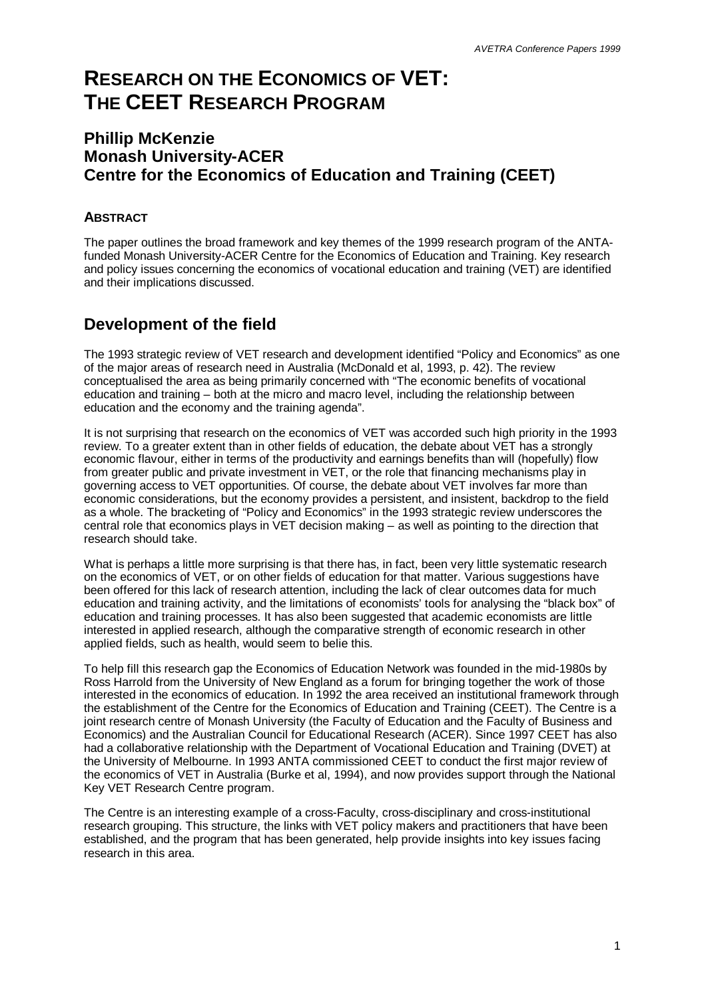# **RESEARCH ON THE ECONOMICS OF VET: THE CEET RESEARCH PROGRAM**

### **Phillip McKenzie Monash University-ACER Centre for the Economics of Education and Training (CEET)**

#### **ABSTRACT**

The paper outlines the broad framework and key themes of the 1999 research program of the ANTAfunded Monash University-ACER Centre for the Economics of Education and Training. Key research and policy issues concerning the economics of vocational education and training (VET) are identified and their implications discussed.

### **Development of the field**

The 1993 strategic review of VET research and development identified "Policy and Economics" as one of the major areas of research need in Australia (McDonald et al, 1993, p. 42). The review conceptualised the area as being primarily concerned with "The economic benefits of vocational education and training – both at the micro and macro level, including the relationship between education and the economy and the training agenda".

It is not surprising that research on the economics of VET was accorded such high priority in the 1993 review. To a greater extent than in other fields of education, the debate about VET has a strongly economic flavour, either in terms of the productivity and earnings benefits than will (hopefully) flow from greater public and private investment in VET, or the role that financing mechanisms play in governing access to VET opportunities. Of course, the debate about VET involves far more than economic considerations, but the economy provides a persistent, and insistent, backdrop to the field as a whole. The bracketing of "Policy and Economics" in the 1993 strategic review underscores the central role that economics plays in VET decision making – as well as pointing to the direction that research should take.

What is perhaps a little more surprising is that there has, in fact, been very little systematic research on the economics of VET, or on other fields of education for that matter. Various suggestions have been offered for this lack of research attention, including the lack of clear outcomes data for much education and training activity, and the limitations of economists' tools for analysing the "black box" of education and training processes. It has also been suggested that academic economists are little interested in applied research, although the comparative strength of economic research in other applied fields, such as health, would seem to belie this.

To help fill this research gap the Economics of Education Network was founded in the mid-1980s by Ross Harrold from the University of New England as a forum for bringing together the work of those interested in the economics of education. In 1992 the area received an institutional framework through the establishment of the Centre for the Economics of Education and Training (CEET). The Centre is a joint research centre of Monash University (the Faculty of Education and the Faculty of Business and Economics) and the Australian Council for Educational Research (ACER). Since 1997 CEET has also had a collaborative relationship with the Department of Vocational Education and Training (DVET) at the University of Melbourne. In 1993 ANTA commissioned CEET to conduct the first major review of the economics of VET in Australia (Burke et al, 1994), and now provides support through the National Key VET Research Centre program.

The Centre is an interesting example of a cross-Faculty, cross-disciplinary and cross-institutional research grouping. This structure, the links with VET policy makers and practitioners that have been established, and the program that has been generated, help provide insights into key issues facing research in this area.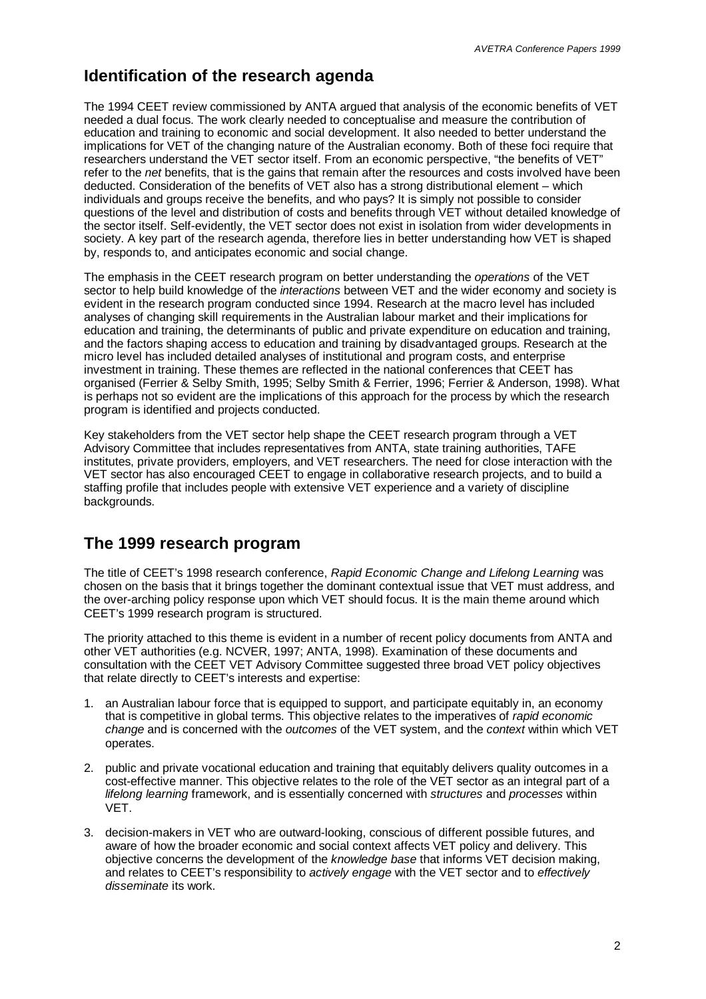### **Identification of the research agenda**

The 1994 CEET review commissioned by ANTA argued that analysis of the economic benefits of VET needed a dual focus. The work clearly needed to conceptualise and measure the contribution of education and training to economic and social development. It also needed to better understand the implications for VET of the changing nature of the Australian economy. Both of these foci require that researchers understand the VET sector itself. From an economic perspective, "the benefits of VET" refer to the *net* benefits, that is the gains that remain after the resources and costs involved have been deducted. Consideration of the benefits of VET also has a strong distributional element – which individuals and groups receive the benefits, and who pays? It is simply not possible to consider questions of the level and distribution of costs and benefits through VET without detailed knowledge of the sector itself. Self-evidently, the VET sector does not exist in isolation from wider developments in society. A key part of the research agenda, therefore lies in better understanding how VET is shaped by, responds to, and anticipates economic and social change.

The emphasis in the CEET research program on better understanding the *operations* of the VET sector to help build knowledge of the *interactions* between VET and the wider economy and society is evident in the research program conducted since 1994. Research at the macro level has included analyses of changing skill requirements in the Australian labour market and their implications for education and training, the determinants of public and private expenditure on education and training, and the factors shaping access to education and training by disadvantaged groups. Research at the micro level has included detailed analyses of institutional and program costs, and enterprise investment in training. These themes are reflected in the national conferences that CEET has organised (Ferrier & Selby Smith, 1995; Selby Smith & Ferrier, 1996; Ferrier & Anderson, 1998). What is perhaps not so evident are the implications of this approach for the process by which the research program is identified and projects conducted.

Key stakeholders from the VET sector help shape the CEET research program through a VET Advisory Committee that includes representatives from ANTA, state training authorities, TAFE institutes, private providers, employers, and VET researchers. The need for close interaction with the VET sector has also encouraged CEET to engage in collaborative research projects, and to build a staffing profile that includes people with extensive VET experience and a variety of discipline backgrounds.

### **The 1999 research program**

The title of CEET's 1998 research conference, *Rapid Economic Change and Lifelong Learning* was chosen on the basis that it brings together the dominant contextual issue that VET must address, and the over-arching policy response upon which VET should focus. It is the main theme around which CEET's 1999 research program is structured.

The priority attached to this theme is evident in a number of recent policy documents from ANTA and other VET authorities (e.g. NCVER, 1997; ANTA, 1998). Examination of these documents and consultation with the CEET VET Advisory Committee suggested three broad VET policy objectives that relate directly to CEET's interests and expertise:

- 1. an Australian labour force that is equipped to support, and participate equitably in, an economy that is competitive in global terms. This objective relates to the imperatives of *rapid economic change* and is concerned with the *outcomes* of the VET system, and the *context* within which VET operates.
- 2. public and private vocational education and training that equitably delivers quality outcomes in a cost-effective manner. This objective relates to the role of the VET sector as an integral part of a *lifelong learning* framework, and is essentially concerned with *structures* and *processes* within VET.
- 3. decision-makers in VET who are outward-looking, conscious of different possible futures, and aware of how the broader economic and social context affects VET policy and delivery. This objective concerns the development of the *knowledge base* that informs VET decision making, and relates to CEET's responsibility to *actively engage* with the VET sector and to *effectively disseminate* its work.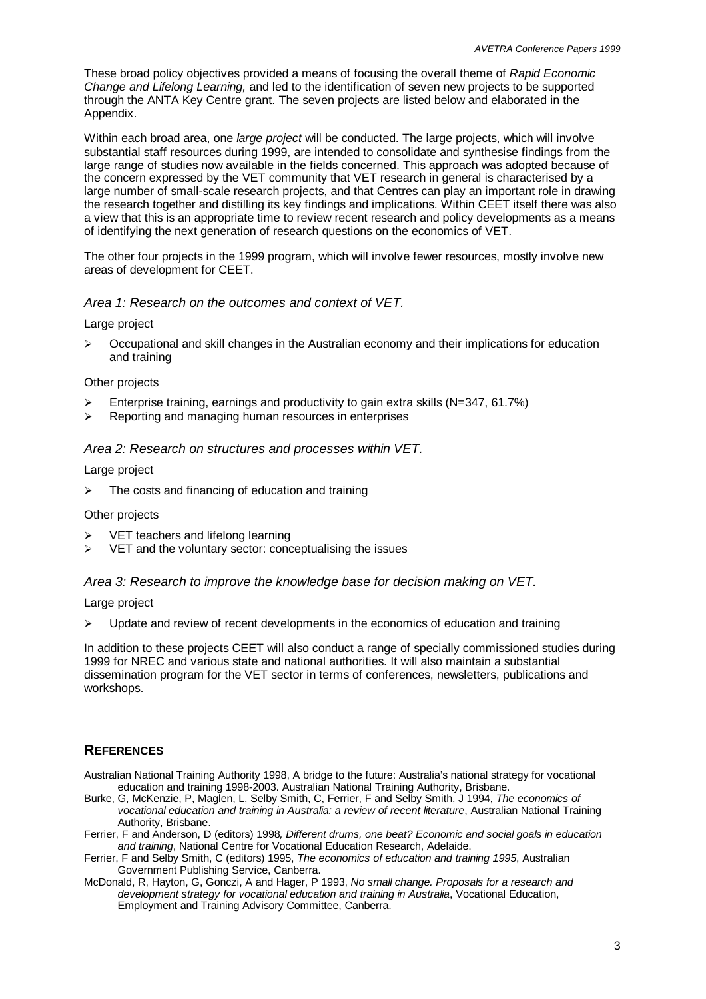These broad policy objectives provided a means of focusing the overall theme of *Rapid Economic Change and Lifelong Learning,* and led to the identification of seven new projects to be supported through the ANTA Key Centre grant. The seven projects are listed below and elaborated in the Appendix.

Within each broad area, one *large project* will be conducted. The large projects, which will involve substantial staff resources during 1999, are intended to consolidate and synthesise findings from the large range of studies now available in the fields concerned. This approach was adopted because of the concern expressed by the VET community that VET research in general is characterised by a large number of small-scale research projects, and that Centres can play an important role in drawing the research together and distilling its key findings and implications. Within CEET itself there was also a view that this is an appropriate time to review recent research and policy developments as a means of identifying the next generation of research questions on the economics of VET.

The other four projects in the 1999 program, which will involve fewer resources, mostly involve new areas of development for CEET.

#### *Area 1: Research on the outcomes and context of VET.*

Large project

 $\geq$  Occupational and skill changes in the Australian economy and their implications for education and training

#### Other projects

- $\geq$  Enterprise training, earnings and productivity to gain extra skills (N=347, 61.7%)
- $\triangleright$  Reporting and managing human resources in enterprises

#### *Area 2: Research on structures and processes within VET.*

#### Large project

 $\triangleright$  The costs and financing of education and training

#### Other projects

- VET teachers and lifelong learning
- $\triangleright$  VET and the voluntary sector: conceptualising the issues

#### *Area 3: Research to improve the knowledge base for decision making on VET.*

Large project

 $\triangleright$  Update and review of recent developments in the economics of education and training

In addition to these projects CEET will also conduct a range of specially commissioned studies during 1999 for NREC and various state and national authorities. It will also maintain a substantial dissemination program for the VET sector in terms of conferences, newsletters, publications and workshops.

#### **REFERENCES**

- Australian National Training Authority 1998, A bridge to the future: Australia's national strategy for vocational education and training 1998-2003. Australian National Training Authority, Brisbane.
- Burke, G, McKenzie, P, Maglen, L, Selby Smith, C, Ferrier, F and Selby Smith, J 1994, *The economics of vocational education and training in Australia: a review of recent literature*, Australian National Training Authority, Brisbane.
- Ferrier, F and Anderson, D (editors) 1998*, Different drums, one beat? Economic and social goals in education and training*, National Centre for Vocational Education Research, Adelaide.
- Ferrier, F and Selby Smith, C (editors) 1995, *The economics of education and training 1995*, Australian Government Publishing Service, Canberra.
- McDonald, R, Hayton, G, Gonczi, A and Hager, P 1993, *No small change. Proposals for a research and development strategy for vocational education and training in Australia*, Vocational Education, Employment and Training Advisory Committee, Canberra.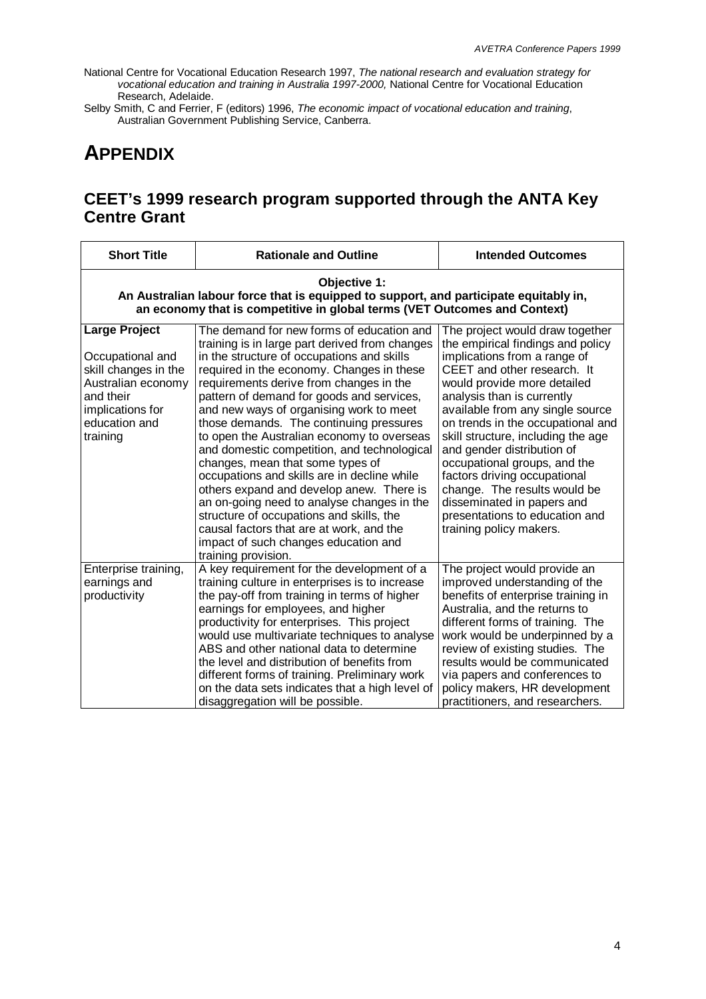National Centre for Vocational Education Research 1997, *The national research and evaluation strategy for vocational education and training in Australia 1997-2000,* National Centre for Vocational Education Research, Adelaide.

Selby Smith, C and Ferrier, F (editors) 1996, *The economic impact of vocational education and training*, Australian Government Publishing Service, Canberra.

## **APPENDIX**

## **CEET's 1999 research program supported through the ANTA Key Centre Grant**

| <b>Short Title</b>                                                                                                                                                                 | <b>Rationale and Outline</b>                                                                                                                                                                                                                                                                                                                                                                                                                                                                                                                                                                                                                                                                                                                                                                          | <b>Intended Outcomes</b>                                                                                                                                                                                                                                                                                                                                                                                                                                                                                                                 |  |  |
|------------------------------------------------------------------------------------------------------------------------------------------------------------------------------------|-------------------------------------------------------------------------------------------------------------------------------------------------------------------------------------------------------------------------------------------------------------------------------------------------------------------------------------------------------------------------------------------------------------------------------------------------------------------------------------------------------------------------------------------------------------------------------------------------------------------------------------------------------------------------------------------------------------------------------------------------------------------------------------------------------|------------------------------------------------------------------------------------------------------------------------------------------------------------------------------------------------------------------------------------------------------------------------------------------------------------------------------------------------------------------------------------------------------------------------------------------------------------------------------------------------------------------------------------------|--|--|
| Objective 1:<br>An Australian labour force that is equipped to support, and participate equitably in,<br>an economy that is competitive in global terms (VET Outcomes and Context) |                                                                                                                                                                                                                                                                                                                                                                                                                                                                                                                                                                                                                                                                                                                                                                                                       |                                                                                                                                                                                                                                                                                                                                                                                                                                                                                                                                          |  |  |
| <b>Large Project</b><br>Occupational and<br>skill changes in the<br>Australian economy<br>and their<br>implications for<br>education and<br>training                               | The demand for new forms of education and<br>training is in large part derived from changes<br>in the structure of occupations and skills<br>required in the economy. Changes in these<br>requirements derive from changes in the<br>pattern of demand for goods and services,<br>and new ways of organising work to meet<br>those demands. The continuing pressures<br>to open the Australian economy to overseas<br>and domestic competition, and technological<br>changes, mean that some types of<br>occupations and skills are in decline while<br>others expand and develop anew. There is<br>an on-going need to analyse changes in the<br>structure of occupations and skills, the<br>causal factors that are at work, and the<br>impact of such changes education and<br>training provision. | The project would draw together<br>the empirical findings and policy<br>implications from a range of<br>CEET and other research. It<br>would provide more detailed<br>analysis than is currently<br>available from any single source<br>on trends in the occupational and<br>skill structure, including the age<br>and gender distribution of<br>occupational groups, and the<br>factors driving occupational<br>change. The results would be<br>disseminated in papers and<br>presentations to education and<br>training policy makers. |  |  |
| Enterprise training,<br>earnings and<br>productivity                                                                                                                               | A key requirement for the development of a<br>training culture in enterprises is to increase<br>the pay-off from training in terms of higher<br>earnings for employees, and higher<br>productivity for enterprises. This project<br>would use multivariate techniques to analyse<br>ABS and other national data to determine<br>the level and distribution of benefits from<br>different forms of training. Preliminary work<br>on the data sets indicates that a high level of<br>disaggregation will be possible.                                                                                                                                                                                                                                                                                   | The project would provide an<br>improved understanding of the<br>benefits of enterprise training in<br>Australia, and the returns to<br>different forms of training. The<br>work would be underpinned by a<br>review of existing studies. The<br>results would be communicated<br>via papers and conferences to<br>policy makers, HR development<br>practitioners, and researchers.                                                                                                                                                      |  |  |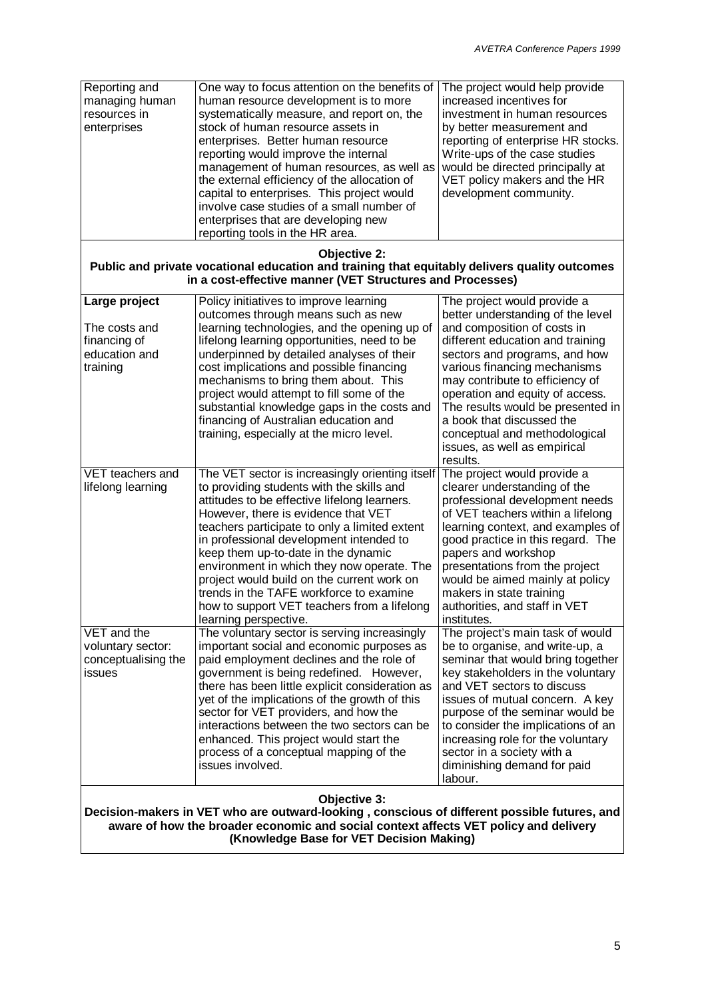| Reporting and<br>managing human<br>resources in<br>enterprises                                                                                                                                                                                   | One way to focus attention on the benefits of<br>human resource development is to more<br>systematically measure, and report on, the<br>stock of human resource assets in<br>enterprises. Better human resource<br>reporting would improve the internal<br>management of human resources, as well as<br>the external efficiency of the allocation of<br>capital to enterprises. This project would<br>involve case studies of a small number of<br>enterprises that are developing new<br>reporting tools in the HR area.             | The project would help provide<br>increased incentives for<br>investment in human resources<br>by better measurement and<br>reporting of enterprise HR stocks.<br>Write-ups of the case studies<br>would be directed principally at<br>VET policy makers and the HR<br>development community.                                                                                                                 |  |  |
|--------------------------------------------------------------------------------------------------------------------------------------------------------------------------------------------------------------------------------------------------|---------------------------------------------------------------------------------------------------------------------------------------------------------------------------------------------------------------------------------------------------------------------------------------------------------------------------------------------------------------------------------------------------------------------------------------------------------------------------------------------------------------------------------------|---------------------------------------------------------------------------------------------------------------------------------------------------------------------------------------------------------------------------------------------------------------------------------------------------------------------------------------------------------------------------------------------------------------|--|--|
| <b>Objective 2:</b><br>Public and private vocational education and training that equitably delivers quality outcomes<br>in a cost-effective manner (VET Structures and Processes)                                                                |                                                                                                                                                                                                                                                                                                                                                                                                                                                                                                                                       |                                                                                                                                                                                                                                                                                                                                                                                                               |  |  |
| Large project<br>The costs and<br>financing of<br>education and<br>training                                                                                                                                                                      | Policy initiatives to improve learning<br>outcomes through means such as new<br>learning technologies, and the opening up of<br>lifelong learning opportunities, need to be<br>underpinned by detailed analyses of their<br>cost implications and possible financing<br>mechanisms to bring them about. This<br>project would attempt to fill some of the<br>substantial knowledge gaps in the costs and<br>financing of Australian education and<br>training, especially at the micro level.                                         | The project would provide a<br>better understanding of the level<br>and composition of costs in<br>different education and training<br>sectors and programs, and how<br>various financing mechanisms<br>may contribute to efficiency of<br>operation and equity of access.<br>The results would be presented in<br>a book that discussed the<br>conceptual and methodological<br>issues, as well as empirical |  |  |
| VET teachers and<br>lifelong learning                                                                                                                                                                                                            | The VET sector is increasingly orienting itself<br>to providing students with the skills and<br>attitudes to be effective lifelong learners.<br>However, there is evidence that VET<br>teachers participate to only a limited extent<br>in professional development intended to<br>keep them up-to-date in the dynamic<br>environment in which they now operate. The<br>project would build on the current work on<br>trends in the TAFE workforce to examine<br>how to support VET teachers from a lifelong<br>learning perspective. | results.<br>The project would provide a<br>clearer understanding of the<br>professional development needs<br>of VET teachers within a lifelong<br>learning context, and examples of<br>good practice in this regard. The<br>papers and workshop<br>presentations from the project<br>would be aimed mainly at policy<br>makers in state training<br>authorities, and staff in VET<br>institutes.              |  |  |
| VET and the<br>voluntary sector:<br>conceptualising the<br>issues                                                                                                                                                                                | The voluntary sector is serving increasingly<br>important social and economic purposes as<br>paid employment declines and the role of<br>government is being redefined. However,<br>there has been little explicit consideration as<br>yet of the implications of the growth of this<br>sector for VET providers, and how the<br>interactions between the two sectors can be<br>enhanced. This project would start the<br>process of a conceptual mapping of the<br>issues involved.                                                  | The project's main task of would<br>be to organise, and write-up, a<br>seminar that would bring together<br>key stakeholders in the voluntary<br>and VET sectors to discuss<br>issues of mutual concern. A key<br>purpose of the seminar would be<br>to consider the implications of an<br>increasing role for the voluntary<br>sector in a society with a<br>diminishing demand for paid<br>labour.          |  |  |
| Objective 3:<br>Decision-makers in VET who are outward-looking, conscious of different possible futures, and<br>aware of how the broader economic and social context affects VET policy and delivery<br>(Knowledge Base for VET Decision Making) |                                                                                                                                                                                                                                                                                                                                                                                                                                                                                                                                       |                                                                                                                                                                                                                                                                                                                                                                                                               |  |  |